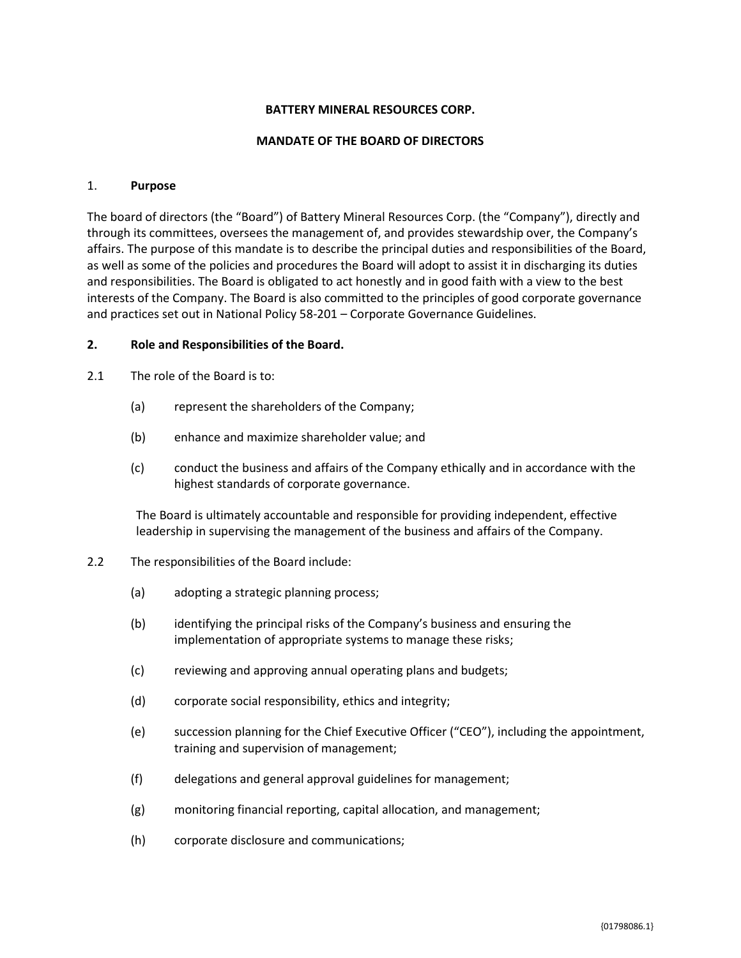### **BATTERY MINERAL RESOURCES CORP.**

#### **MANDATE OF THE BOARD OF DIRECTORS**

#### 1. **Purpose**

The board of directors (the "Board") of Battery Mineral Resources Corp. (the "Company"), directly and through its committees, oversees the management of, and provides stewardship over, the Company's affairs. The purpose of this mandate is to describe the principal duties and responsibilities of the Board, as well as some of the policies and procedures the Board will adopt to assist it in discharging its duties and responsibilities. The Board is obligated to act honestly and in good faith with a view to the best interests of the Company. The Board is also committed to the principles of good corporate governance and practices set out in National Policy 58-201 – Corporate Governance Guidelines.

#### **2. Role and Responsibilities of the Board.**

- 2.1 The role of the Board is to:
	- (a) represent the shareholders of the Company;
	- (b) enhance and maximize shareholder value; and
	- (c) conduct the business and affairs of the Company ethically and in accordance with the highest standards of corporate governance.

The Board is ultimately accountable and responsible for providing independent, effective leadership in supervising the management of the business and affairs of the Company.

- 2.2 The responsibilities of the Board include:
	- (a) adopting a strategic planning process;
	- (b) identifying the principal risks of the Company's business and ensuring the implementation of appropriate systems to manage these risks;
	- (c) reviewing and approving annual operating plans and budgets;
	- (d) corporate social responsibility, ethics and integrity;
	- (e) succession planning for the Chief Executive Officer ("CEO"), including the appointment, training and supervision of management;
	- (f) delegations and general approval guidelines for management;
	- (g) monitoring financial reporting, capital allocation, and management;
	- (h) corporate disclosure and communications;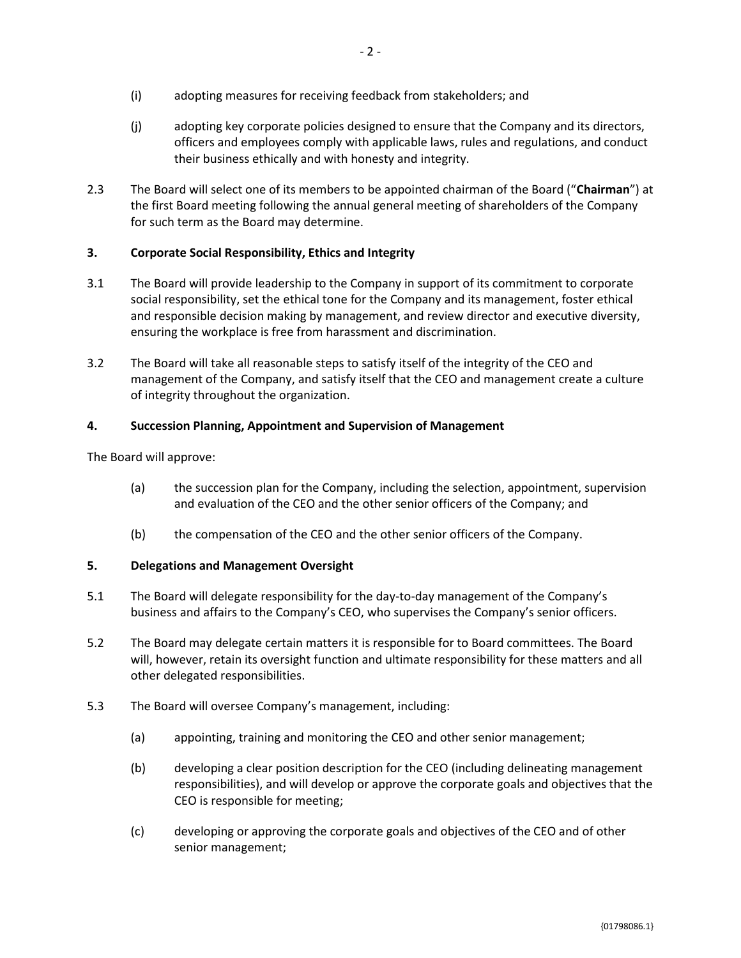- (i) adopting measures for receiving feedback from stakeholders; and
- (j) adopting key corporate policies designed to ensure that the Company and its directors, officers and employees comply with applicable laws, rules and regulations, and conduct their business ethically and with honesty and integrity.
- 2.3 The Board will select one of its members to be appointed chairman of the Board ("**Chairman**") at the first Board meeting following the annual general meeting of shareholders of the Company for such term as the Board may determine.

# **3. Corporate Social Responsibility, Ethics and Integrity**

- 3.1 The Board will provide leadership to the Company in support of its commitment to corporate social responsibility, set the ethical tone for the Company and its management, foster ethical and responsible decision making by management, and review director and executive diversity, ensuring the workplace is free from harassment and discrimination.
- 3.2 The Board will take all reasonable steps to satisfy itself of the integrity of the CEO and management of the Company, and satisfy itself that the CEO and management create a culture of integrity throughout the organization.

# **4. Succession Planning, Appointment and Supervision of Management**

The Board will approve:

- (a) the succession plan for the Company, including the selection, appointment, supervision and evaluation of the CEO and the other senior officers of the Company; and
- (b) the compensation of the CEO and the other senior officers of the Company.

# **5. Delegations and Management Oversight**

- 5.1 The Board will delegate responsibility for the day-to-day management of the Company's business and affairs to the Company's CEO, who supervises the Company's senior officers.
- 5.2 The Board may delegate certain matters it is responsible for to Board committees. The Board will, however, retain its oversight function and ultimate responsibility for these matters and all other delegated responsibilities.
- 5.3 The Board will oversee Company's management, including:
	- (a) appointing, training and monitoring the CEO and other senior management;
	- (b) developing a clear position description for the CEO (including delineating management responsibilities), and will develop or approve the corporate goals and objectives that the CEO is responsible for meeting;
	- (c) developing or approving the corporate goals and objectives of the CEO and of other senior management;